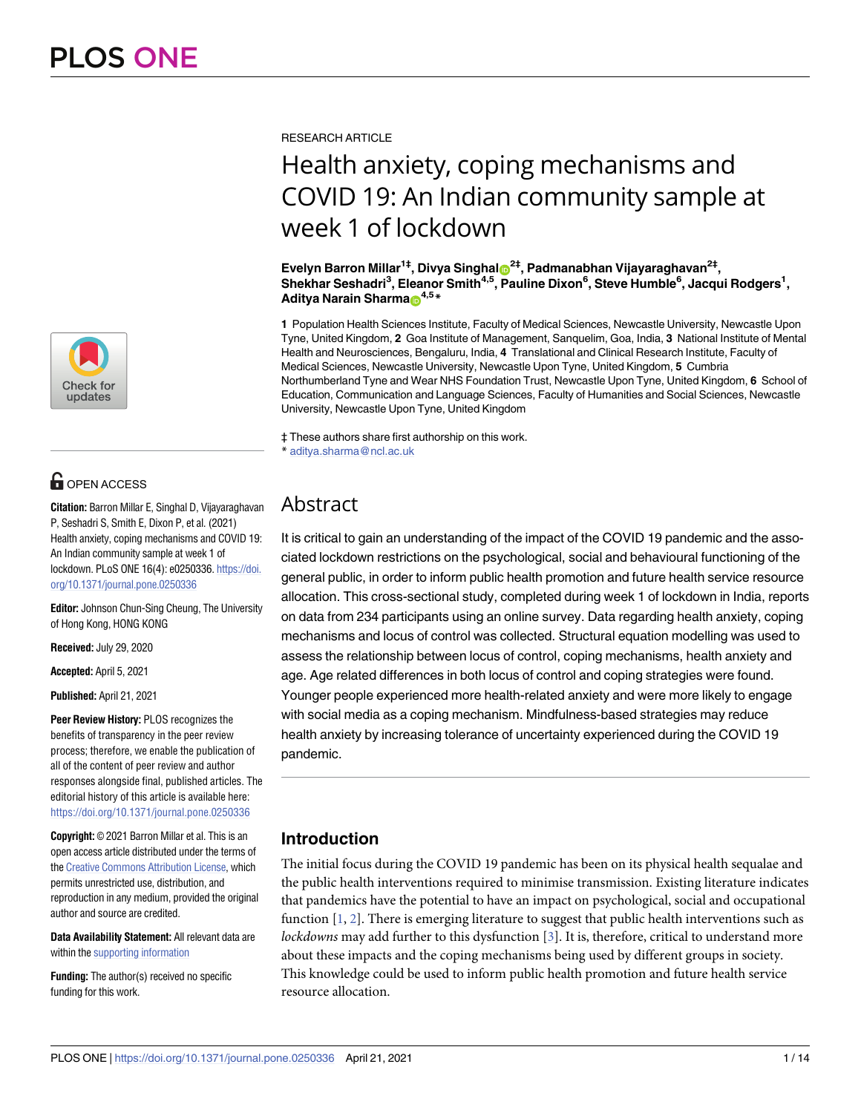

## **O** OPEN ACCESS

**Citation:** Barron Millar E, Singhal D, Vijayaraghavan P, Seshadri S, Smith E, Dixon P, et al. (2021) Health anxiety, coping mechanisms and COVID 19: An Indian community sample at week 1 of lockdown. PLoS ONE 16(4): e0250336. [https://doi.](https://doi.org/10.1371/journal.pone.0250336) [org/10.1371/journal.pone.0250336](https://doi.org/10.1371/journal.pone.0250336)

**Editor:** Johnson Chun-Sing Cheung, The University of Hong Kong, HONG KONG

**Received:** July 29, 2020

**Accepted:** April 5, 2021

**Published:** April 21, 2021

**Peer Review History:** PLOS recognizes the benefits of transparency in the peer review process; therefore, we enable the publication of all of the content of peer review and author responses alongside final, published articles. The editorial history of this article is available here: <https://doi.org/10.1371/journal.pone.0250336>

**Copyright:** © 2021 Barron Millar et al. This is an open access article distributed under the terms of the Creative [Commons](http://creativecommons.org/licenses/by/4.0/) Attribution License, which permits unrestricted use, distribution, and reproduction in any medium, provided the original author and source are credited.

**Data Availability Statement:** All relevant data are within the supporting [information](#page-10-0)

**Funding:** The author(s) received no specific funding for this work.

<span id="page-0-0"></span>RESEARCH ARTICLE

# Health anxiety, coping mechanisms and COVID 19: An Indian community sample at week 1 of lockdown

**Evelyn Barron Millar1‡, Divya Singhal[ID2](https://orcid.org/0000-0002-2227-2109)‡, Padmanabhan Vijayaraghavan2‡,**  $\blacksquare$ Shekhar Seshadri $^3$ , Eleanor Smith $^{4,5}$ , Pauline Dixon $^6$ , Steve Humble $^6$ , Jacqui Rodgers $^1$ , **Aditya Narain Sharma**<sup>4,5</sup>\*

**1** Population Health Sciences Institute, Faculty of Medical Sciences, Newcastle University, Newcastle Upon Tyne, United Kingdom, **2** Goa Institute of Management, Sanquelim, Goa, India, **3** National Institute of Mental Health and Neurosciences, Bengaluru, India, **4** Translational and Clinical Research Institute, Faculty of Medical Sciences, Newcastle University, Newcastle Upon Tyne, United Kingdom, **5** Cumbria Northumberland Tyne and Wear NHS Foundation Trust, Newcastle Upon Tyne, United Kingdom, **6** School of Education, Communication and Language Sciences, Faculty of Humanities and Social Sciences, Newcastle University, Newcastle Upon Tyne, United Kingdom

‡ These authors share first authorship on this work. \* aditya.sharma@ncl.ac.uk

## Abstract

It is critical to gain an understanding of the impact of the COVID 19 pandemic and the associated lockdown restrictions on the psychological, social and behavioural functioning of the general public, in order to inform public health promotion and future health service resource allocation. This cross-sectional study, completed during week 1 of lockdown in India, reports on data from 234 participants using an online survey. Data regarding health anxiety, coping mechanisms and locus of control was collected. Structural equation modelling was used to assess the relationship between locus of control, coping mechanisms, health anxiety and age. Age related differences in both locus of control and coping strategies were found. Younger people experienced more health-related anxiety and were more likely to engage with social media as a coping mechanism. Mindfulness-based strategies may reduce health anxiety by increasing tolerance of uncertainty experienced during the COVID 19 pandemic.

## **Introduction**

The initial focus during the COVID 19 pandemic has been on its physical health sequalae and the public health interventions required to minimise transmission. Existing literature indicates that pandemics have the potential to have an impact on psychological, social and occupational function [[1](#page-10-0), [2\]](#page-10-0). There is emerging literature to suggest that public health interventions such as *lockdowns* may add further to this dysfunction [\[3](#page-11-0)]. It is, therefore, critical to understand more about these impacts and the coping mechanisms being used by different groups in society. This knowledge could be used to inform public health promotion and future health service resource allocation.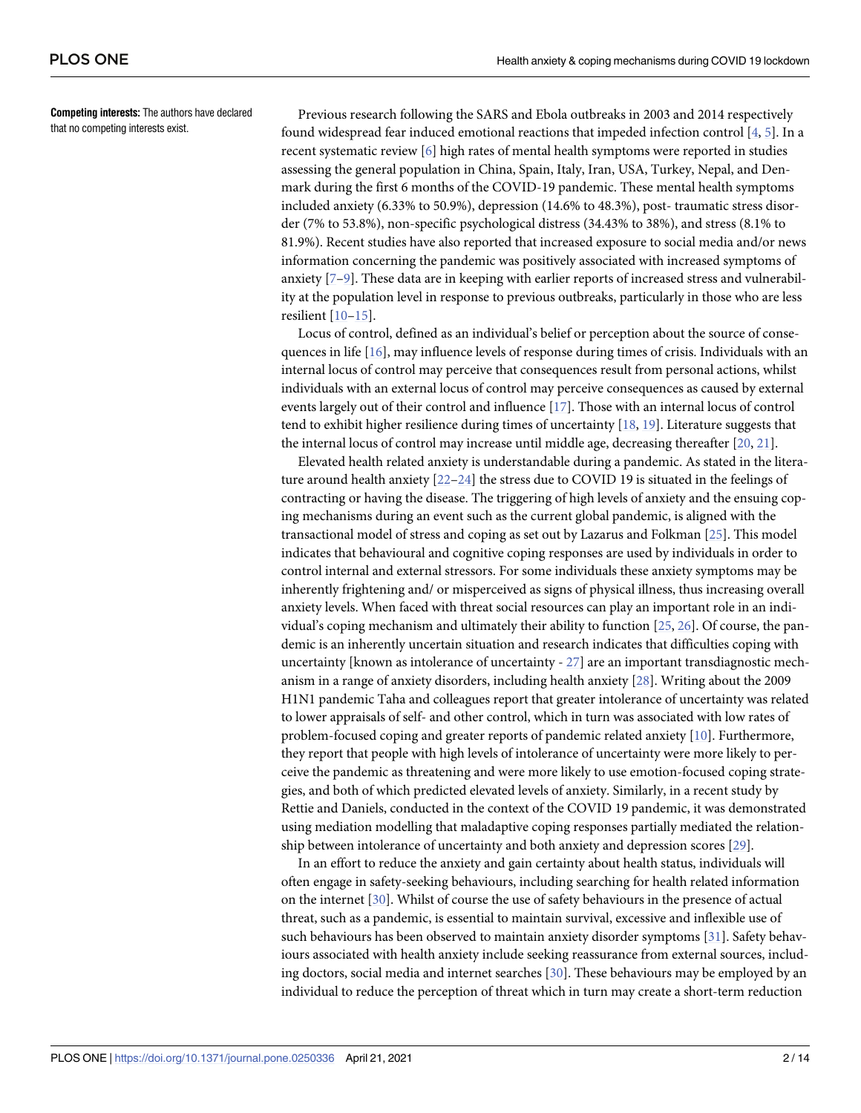<span id="page-1-0"></span>**Competing interests:** The authors have declared that no competing interests exist.

Previous research following the SARS and Ebola outbreaks in 2003 and 2014 respectively found widespread fear induced emotional reactions that impeded infection control  $[4, 5]$  $[4, 5]$  $[4, 5]$  $[4, 5]$ . In a recent systematic review [[6](#page-11-0)] high rates of mental health symptoms were reported in studies assessing the general population in China, Spain, Italy, Iran, USA, Turkey, Nepal, and Denmark during the first 6 months of the COVID-19 pandemic. These mental health symptoms included anxiety (6.33% to 50.9%), depression (14.6% to 48.3%), post- traumatic stress disorder (7% to 53.8%), non-specific psychological distress (34.43% to 38%), and stress (8.1% to 81.9%). Recent studies have also reported that increased exposure to social media and/or news information concerning the pandemic was positively associated with increased symptoms of anxiety [[7–9](#page-11-0)]. These data are in keeping with earlier reports of increased stress and vulnerability at the population level in response to previous outbreaks, particularly in those who are less resilient [[10–15\]](#page-11-0).

Locus of control, defined as an individual's belief or perception about the source of consequences in life [[16](#page-11-0)], may influence levels of response during times of crisis. Individuals with an internal locus of control may perceive that consequences result from personal actions, whilst individuals with an external locus of control may perceive consequences as caused by external events largely out of their control and influence [[17](#page-11-0)]. Those with an internal locus of control tend to exhibit higher resilience during times of uncertainty [[18](#page-11-0), [19](#page-11-0)]. Literature suggests that the internal locus of control may increase until middle age, decreasing thereafter [\[20,](#page-11-0) [21\]](#page-11-0).

Elevated health related anxiety is understandable during a pandemic. As stated in the literature around health anxiety [\[22–](#page-11-0)[24](#page-12-0)] the stress due to COVID 19 is situated in the feelings of contracting or having the disease. The triggering of high levels of anxiety and the ensuing coping mechanisms during an event such as the current global pandemic, is aligned with the transactional model of stress and coping as set out by Lazarus and Folkman [\[25\]](#page-12-0). This model indicates that behavioural and cognitive coping responses are used by individuals in order to control internal and external stressors. For some individuals these anxiety symptoms may be inherently frightening and/ or misperceived as signs of physical illness, thus increasing overall anxiety levels. When faced with threat social resources can play an important role in an individual's coping mechanism and ultimately their ability to function [\[25,](#page-12-0) [26\]](#page-12-0). Of course, the pandemic is an inherently uncertain situation and research indicates that difficulties coping with uncertainty [known as intolerance of uncertainty - [27](#page-12-0)] are an important transdiagnostic mechanism in a range of anxiety disorders, including health anxiety [[28](#page-12-0)]. Writing about the 2009 H1N1 pandemic Taha and colleagues report that greater intolerance of uncertainty was related to lower appraisals of self- and other control, which in turn was associated with low rates of problem-focused coping and greater reports of pandemic related anxiety [[10](#page-11-0)]. Furthermore, they report that people with high levels of intolerance of uncertainty were more likely to perceive the pandemic as threatening and were more likely to use emotion-focused coping strategies, and both of which predicted elevated levels of anxiety. Similarly, in a recent study by Rettie and Daniels, conducted in the context of the COVID 19 pandemic, it was demonstrated using mediation modelling that maladaptive coping responses partially mediated the relationship between intolerance of uncertainty and both anxiety and depression scores [\[29\]](#page-12-0).

In an effort to reduce the anxiety and gain certainty about health status, individuals will often engage in safety-seeking behaviours, including searching for health related information on the internet [[30](#page-12-0)]. Whilst of course the use of safety behaviours in the presence of actual threat, such as a pandemic, is essential to maintain survival, excessive and inflexible use of such behaviours has been observed to maintain anxiety disorder symptoms [[31](#page-12-0)]. Safety behaviours associated with health anxiety include seeking reassurance from external sources, including doctors, social media and internet searches [\[30\]](#page-12-0). These behaviours may be employed by an individual to reduce the perception of threat which in turn may create a short-term reduction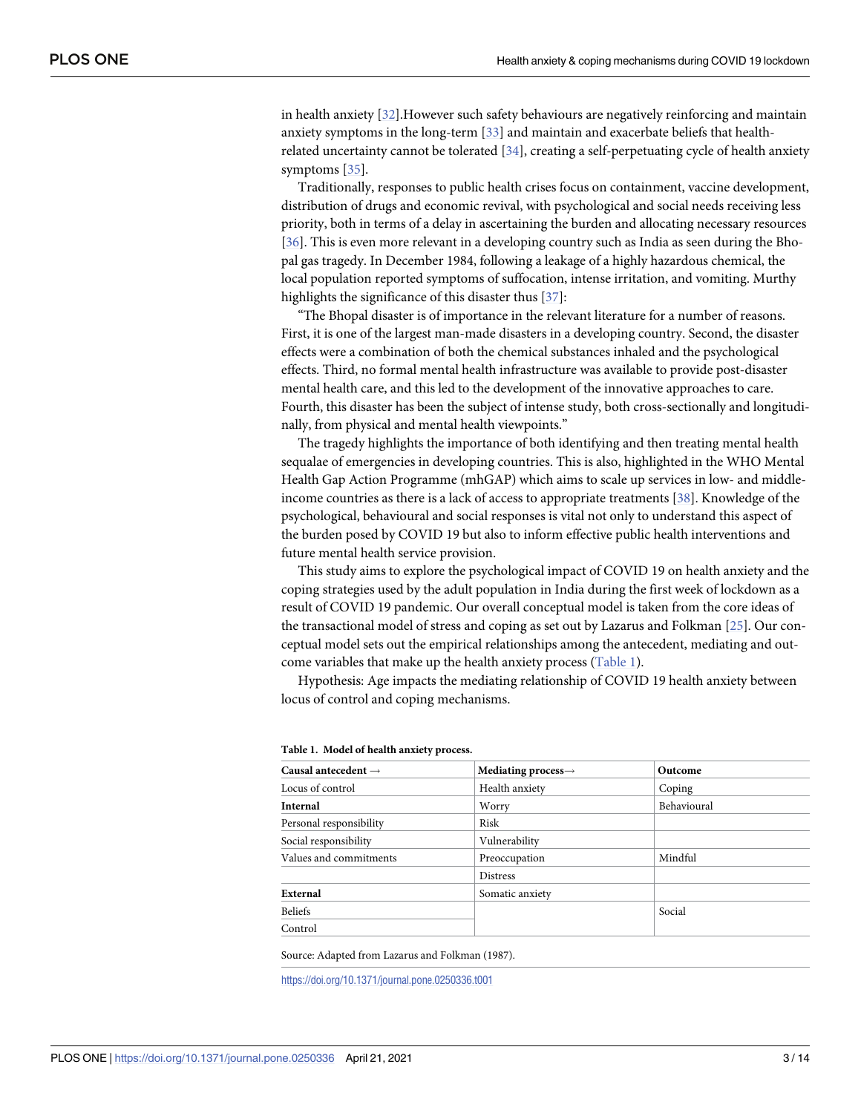<span id="page-2-0"></span>in health anxiety [[32](#page-12-0)].However such safety behaviours are negatively reinforcing and maintain anxiety symptoms in the long-term [[33](#page-12-0)] and maintain and exacerbate beliefs that healthrelated uncertainty cannot be tolerated [[34](#page-12-0)], creating a self-perpetuating cycle of health anxiety symptoms [\[35](#page-12-0)].

Traditionally, responses to public health crises focus on containment, vaccine development, distribution of drugs and economic revival, with psychological and social needs receiving less priority, both in terms of a delay in ascertaining the burden and allocating necessary resources [\[36\]](#page-12-0). This is even more relevant in a developing country such as India as seen during the Bhopal gas tragedy. In December 1984, following a leakage of a highly hazardous chemical, the local population reported symptoms of suffocation, intense irritation, and vomiting. Murthy highlights the significance of this disaster thus [\[37\]](#page-12-0):

"The Bhopal disaster is of importance in the relevant literature for a number of reasons. First, it is one of the largest man-made disasters in a developing country. Second, the disaster effects were a combination of both the chemical substances inhaled and the psychological effects. Third, no formal mental health infrastructure was available to provide post-disaster mental health care, and this led to the development of the innovative approaches to care. Fourth, this disaster has been the subject of intense study, both cross-sectionally and longitudinally, from physical and mental health viewpoints."

The tragedy highlights the importance of both identifying and then treating mental health sequalae of emergencies in developing countries. This is also, highlighted in the WHO Mental Health Gap Action Programme (mhGAP) which aims to scale up services in low- and middleincome countries as there is a lack of access to appropriate treatments [[38](#page-12-0)]. Knowledge of the psychological, behavioural and social responses is vital not only to understand this aspect of the burden posed by COVID 19 but also to inform effective public health interventions and future mental health service provision.

This study aims to explore the psychological impact of COVID 19 on health anxiety and the coping strategies used by the adult population in India during the first week of lockdown as a result of COVID 19 pandemic. Our overall conceptual model is taken from the core ideas of the transactional model of stress and coping as set out by Lazarus and Folkman [\[25\]](#page-12-0). Our conceptual model sets out the empirical relationships among the antecedent, mediating and outcome variables that make up the health anxiety process (Table 1).

Hypothesis: Age impacts the mediating relationship of COVID 19 health anxiety between locus of control and coping mechanisms.

| Causal antecedent $\rightarrow$ | Mediating process $\rightarrow$ | Outcome     |
|---------------------------------|---------------------------------|-------------|
| Locus of control                | Health anxiety                  | Coping      |
| <b>Internal</b>                 | Worry                           | Behavioural |
| Personal responsibility         | Risk                            |             |
| Social responsibility           | Vulnerability                   |             |
| Values and commitments          | Preoccupation                   | Mindful     |
|                                 | <b>Distress</b>                 |             |
| External                        | Somatic anxiety                 |             |
| Beliefs                         |                                 | Social      |
| Control                         |                                 |             |

#### **Table 1. Model of health anxiety process.**

Source: Adapted from Lazarus and Folkman (1987).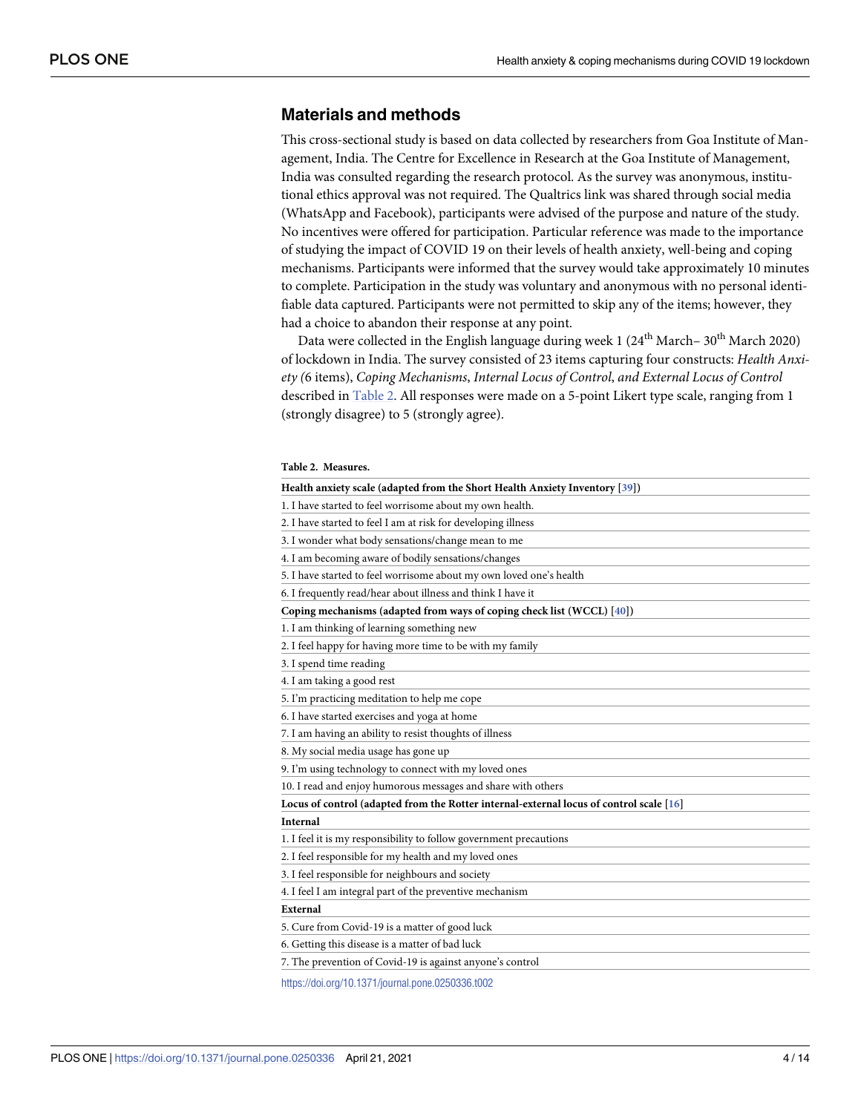## <span id="page-3-0"></span>**Materials and methods**

This cross-sectional study is based on data collected by researchers from Goa Institute of Management, India. The Centre for Excellence in Research at the Goa Institute of Management, India was consulted regarding the research protocol. As the survey was anonymous, institutional ethics approval was not required. The Qualtrics link was shared through social media (WhatsApp and Facebook), participants were advised of the purpose and nature of the study. No incentives were offered for participation. Particular reference was made to the importance of studying the impact of COVID 19 on their levels of health anxiety, well-being and coping mechanisms. Participants were informed that the survey would take approximately 10 minutes to complete. Participation in the study was voluntary and anonymous with no personal identifiable data captured. Participants were not permitted to skip any of the items; however, they had a choice to abandon their response at any point.

Data were collected in the English language during week 1 ( $24<sup>th</sup> March-30<sup>th</sup> March 2020$ ) of lockdown in India. The survey consisted of 23 items capturing four constructs: *Health Anxiety (*6 items), *Coping Mechanisms*, *Internal Locus of Control*, *and External Locus of Control* described in Table 2. All responses were made on a 5-point Likert type scale, ranging from 1 (strongly disagree) to 5 (strongly agree).

#### **Table 2. Measures.**

| Health anxiety scale (adapted from the Short Health Anxiety Inventory [39])             |
|-----------------------------------------------------------------------------------------|
| 1. I have started to feel worrisome about my own health.                                |
| 2. I have started to feel I am at risk for developing illness                           |
| 3. I wonder what body sensations/change mean to me                                      |
| 4. I am becoming aware of bodily sensations/changes                                     |
| 5. I have started to feel worrisome about my own loved one's health                     |
| 6. I frequently read/hear about illness and think I have it                             |
| Coping mechanisms (adapted from ways of coping check list (WCCL) [40])                  |
| 1. I am thinking of learning something new                                              |
| 2. I feel happy for having more time to be with my family                               |
| 3. I spend time reading                                                                 |
| 4. I am taking a good rest                                                              |
| 5. I'm practicing meditation to help me cope                                            |
| 6. I have started exercises and yoga at home                                            |
| 7. I am having an ability to resist thoughts of illness                                 |
| 8. My social media usage has gone up                                                    |
| 9. I'm using technology to connect with my loved ones                                   |
| 10. I read and enjoy humorous messages and share with others                            |
| Locus of control (adapted from the Rotter internal-external locus of control scale [16] |
| <b>Internal</b>                                                                         |
| 1. I feel it is my responsibility to follow government precautions                      |
| 2. I feel responsible for my health and my loved ones                                   |
| 3. I feel responsible for neighbours and society                                        |
| 4. I feel I am integral part of the preventive mechanism                                |
| External                                                                                |
| 5. Cure from Covid-19 is a matter of good luck                                          |
| 6. Getting this disease is a matter of bad luck                                         |
| 7. The prevention of Covid-19 is against anyone's control                               |
|                                                                                         |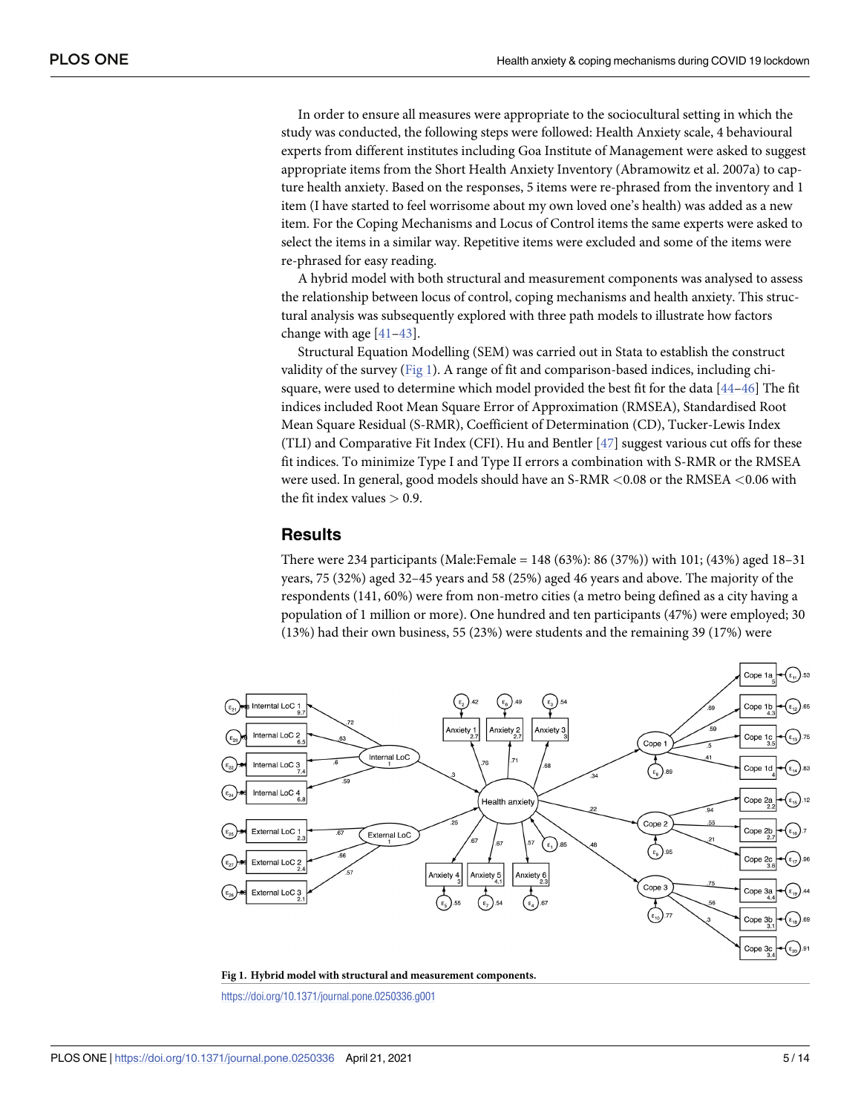<span id="page-4-0"></span>In order to ensure all measures were appropriate to the sociocultural setting in which the study was conducted, the following steps were followed: Health Anxiety scale, 4 behavioural experts from different institutes including Goa Institute of Management were asked to suggest appropriate items from the Short Health Anxiety Inventory (Abramowitz et al. 2007a) to capture health anxiety. Based on the responses, 5 items were re-phrased from the inventory and 1 item (I have started to feel worrisome about my own loved one's health) was added as a new item. For the Coping Mechanisms and Locus of Control items the same experts were asked to select the items in a similar way. Repetitive items were excluded and some of the items were re-phrased for easy reading.

A hybrid model with both structural and measurement components was analysed to assess the relationship between locus of control, coping mechanisms and health anxiety. This structural analysis was subsequently explored with three path models to illustrate how factors change with age [\[41–43](#page-12-0)].

Structural Equation Modelling (SEM) was carried out in Stata to establish the construct validity of the survey (Fig 1). A range of fit and comparison-based indices, including chisquare, were used to determine which model provided the best fit for the data [[44–46\]](#page-12-0) The fit indices included Root Mean Square Error of Approximation (RMSEA), Standardised Root Mean Square Residual (S-RMR), Coefficient of Determination (CD), Tucker-Lewis Index (TLI) and Comparative Fit Index (CFI). Hu and Bentler [\[47\]](#page-12-0) suggest various cut offs for these fit indices. To minimize Type I and Type II errors a combination with S-RMR or the RMSEA were used. In general, good models should have an S-RMR *<*0.08 or the RMSEA *<*0.06 with the fit index values *>* 0.9.

## **Results**

There were 234 participants (Male:Female = 148 (63%): 86 (37%)) with 101; (43%) aged 18–31 years, 75 (32%) aged 32–45 years and 58 (25%) aged 46 years and above. The majority of the respondents (141, 60%) were from non-metro cities (a metro being defined as a city having a population of 1 million or more). One hundred and ten participants (47%) were employed; 30 (13%) had their own business, 55 (23%) were students and the remaining 39 (17%) were



**Fig 1. Hybrid model with structural and measurement components.**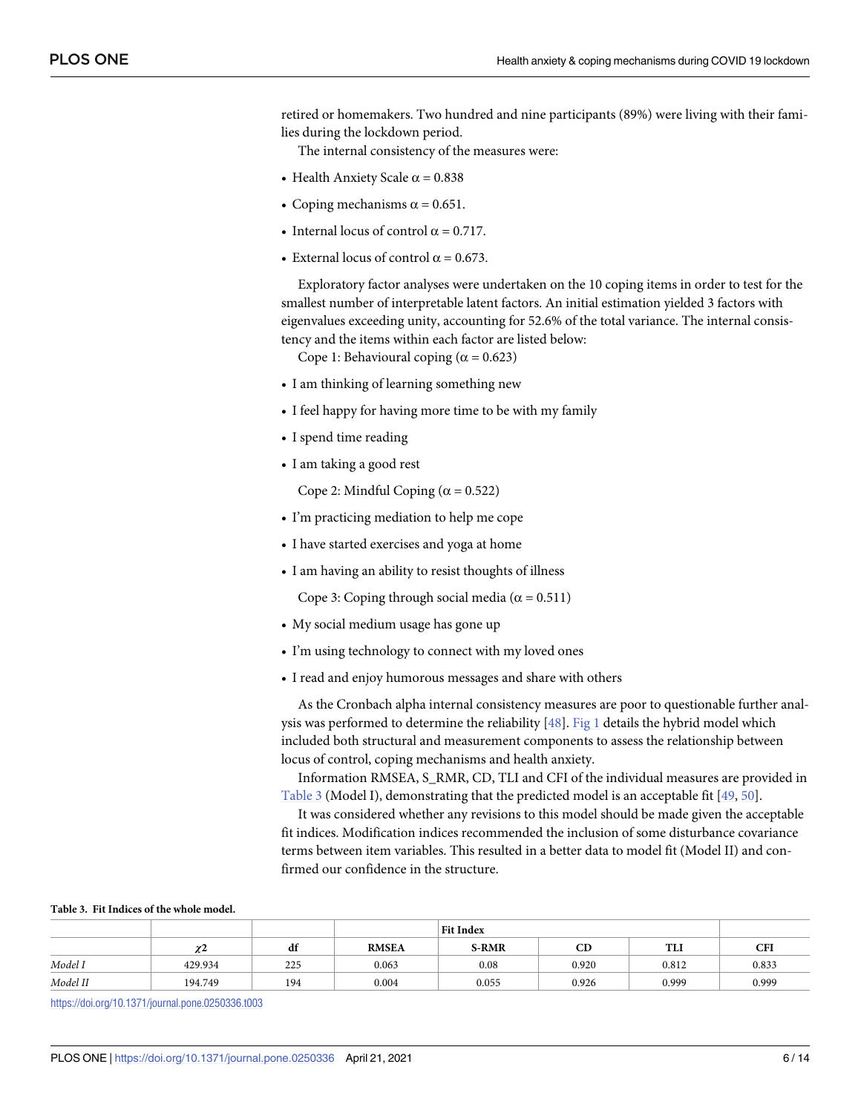<span id="page-5-0"></span>retired or homemakers. Two hundred and nine participants (89%) were living with their families during the lockdown period.

The internal consistency of the measures were:

- Health Anxiety Scale  $\alpha$  = 0.838
- Coping mechanisms  $\alpha$  = 0.651.
- Internal locus of control  $\alpha = 0.717$ .
- External locus of control  $\alpha = 0.673$ .

Exploratory factor analyses were undertaken on the 10 coping items in order to test for the smallest number of interpretable latent factors. An initial estimation yielded 3 factors with eigenvalues exceeding unity, accounting for 52.6% of the total variance. The internal consistency and the items within each factor are listed below:

Cope 1: Behavioural coping ( $\alpha$  = 0.623)

- I am thinking of learning something new
- I feel happy for having more time to be with my family
- I spend time reading
- I am taking a good rest

Cope 2: Mindful Coping ( $\alpha$  = 0.522)

- I'm practicing mediation to help me cope
- I have started exercises and yoga at home
- I am having an ability to resist thoughts of illness

Cope 3: Coping through social media ( $\alpha$  = 0.511)

- My social medium usage has gone up
- I'm using technology to connect with my loved ones
- I read and enjoy humorous messages and share with others

As the Cronbach alpha internal consistency measures are poor to questionable further analysis was performed to determine the reliability [[48](#page-13-0)]. [Fig](#page-4-0) 1 details the hybrid model which included both structural and measurement components to assess the relationship between locus of control, coping mechanisms and health anxiety.

Information RMSEA, S\_RMR, CD, TLI and CFI of the individual measures are provided in Table 3 (Model I), demonstrating that the predicted model is an acceptable fit [\[49,](#page-13-0) [50\]](#page-13-0).

It was considered whether any revisions to this model should be made given the acceptable fit indices. Modification indices recommended the inclusion of some disturbance covariance terms between item variables. This resulted in a better data to model fit (Model II) and confirmed our confidence in the structure.

#### **Table 3. Fit Indices of the whole model.**

|          | $\checkmark$<br>x. | df  | <b>RMSEA</b> | <b>S-RMR</b> | CD    | <b>TLI</b> | CFI   |
|----------|--------------------|-----|--------------|--------------|-------|------------|-------|
| Model I  | 429.934            | 225 | 0.063        | 0.08         | 0.920 | 0.812      | 0.833 |
| Model II | 194.749            | 194 | 0.004        | 0.055        | 0.926 | 0.999      | 0.999 |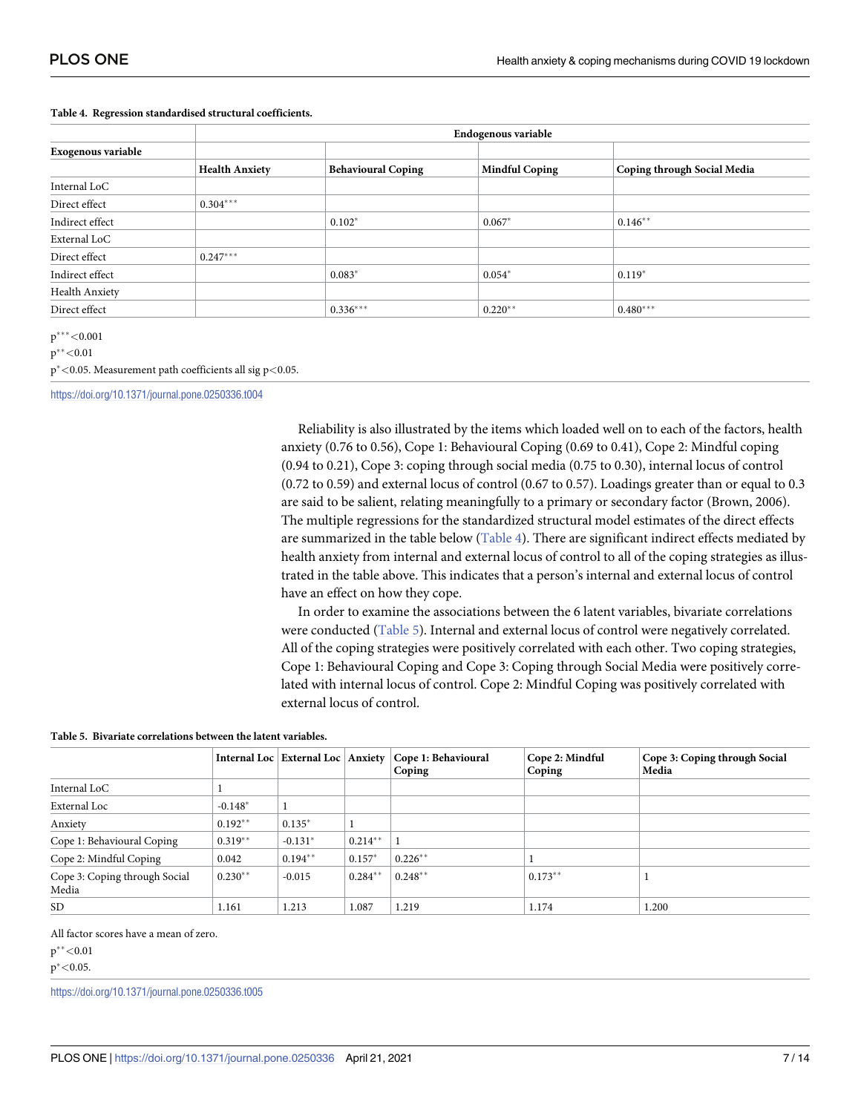|                    |                       | Endogenous variable       |                       |                             |  |  |  |  |  |  |
|--------------------|-----------------------|---------------------------|-----------------------|-----------------------------|--|--|--|--|--|--|
| Exogenous variable |                       |                           |                       |                             |  |  |  |  |  |  |
|                    | <b>Health Anxiety</b> | <b>Behavioural Coping</b> | <b>Mindful Coping</b> | Coping through Social Media |  |  |  |  |  |  |
| Internal LoC       |                       |                           |                       |                             |  |  |  |  |  |  |
| Direct effect      | $0.304***$            |                           |                       |                             |  |  |  |  |  |  |
| Indirect effect    |                       | $0.102*$                  | $0.067*$              | $0.146**$                   |  |  |  |  |  |  |
| External LoC       |                       |                           |                       |                             |  |  |  |  |  |  |
| Direct effect      | $0.247***$            |                           |                       |                             |  |  |  |  |  |  |
| Indirect effect    |                       | $0.083*$                  | $0.054*$              | $0.119*$                    |  |  |  |  |  |  |
| Health Anxiety     |                       |                           |                       |                             |  |  |  |  |  |  |
| Direct effect      |                       | $0.336***$                | $0.220**$             | $0.480***$                  |  |  |  |  |  |  |

#### **Table 4. Regression standardised structural coefficients.**

p���*<*0.001

p��*<*0.01

p�*<*0.05. Measurement path coefficients all sig p*<*0.05.

<https://doi.org/10.1371/journal.pone.0250336.t004>

Reliability is also illustrated by the items which loaded well on to each of the factors, health anxiety (0.76 to 0.56), Cope 1: Behavioural Coping (0.69 to 0.41), Cope 2: Mindful coping (0.94 to 0.21), Cope 3: coping through social media (0.75 to 0.30), internal locus of control (0.72 to 0.59) and external locus of control (0.67 to 0.57). Loadings greater than or equal to 0.3 are said to be salient, relating meaningfully to a primary or secondary factor (Brown, 2006). The multiple regressions for the standardized structural model estimates of the direct effects are summarized in the table below  $(Table 4)$ . There are significant indirect effects mediated by health anxiety from internal and external locus of control to all of the coping strategies as illustrated in the table above. This indicates that a person's internal and external locus of control have an effect on how they cope.

In order to examine the associations between the 6 latent variables, bivariate correlations were conducted (Table 5). Internal and external locus of control were negatively correlated. All of the coping strategies were positively correlated with each other. Two coping strategies, Cope 1: Behavioural Coping and Cope 3: Coping through Social Media were positively correlated with internal locus of control. Cope 2: Mindful Coping was positively correlated with external locus of control.

#### **Table 5. Bivariate correlations between the latent variables.**

|                                        |           |           |           | Internal Loc   External Loc   Anxiety   Cope 1: Behavioural<br>Coping | Cope 2: Mindful<br>Coping | Cope 3: Coping through Social<br>Media |
|----------------------------------------|-----------|-----------|-----------|-----------------------------------------------------------------------|---------------------------|----------------------------------------|
| Internal LoC                           |           |           |           |                                                                       |                           |                                        |
| External Loc                           | $-0.148*$ |           |           |                                                                       |                           |                                        |
| Anxiety                                | $0.192**$ | $0.135*$  |           |                                                                       |                           |                                        |
| Cope 1: Behavioural Coping             | $0.319**$ | $-0.131*$ | $0.214**$ |                                                                       |                           |                                        |
| Cope 2: Mindful Coping                 | 0.042     | $0.194**$ | $0.157*$  | $0.226***$                                                            |                           |                                        |
| Cope 3: Coping through Social<br>Media | $0.230**$ | $-0.015$  | $0.284**$ | $0.248**$                                                             | $0.173**$                 |                                        |
| SD.                                    | 1.161     | 1.213     | 1.087     | 1.219                                                                 | 1.174                     | 1.200                                  |

All factor scores have a mean of zero.

p��*<*0.01

p�*<*0.05.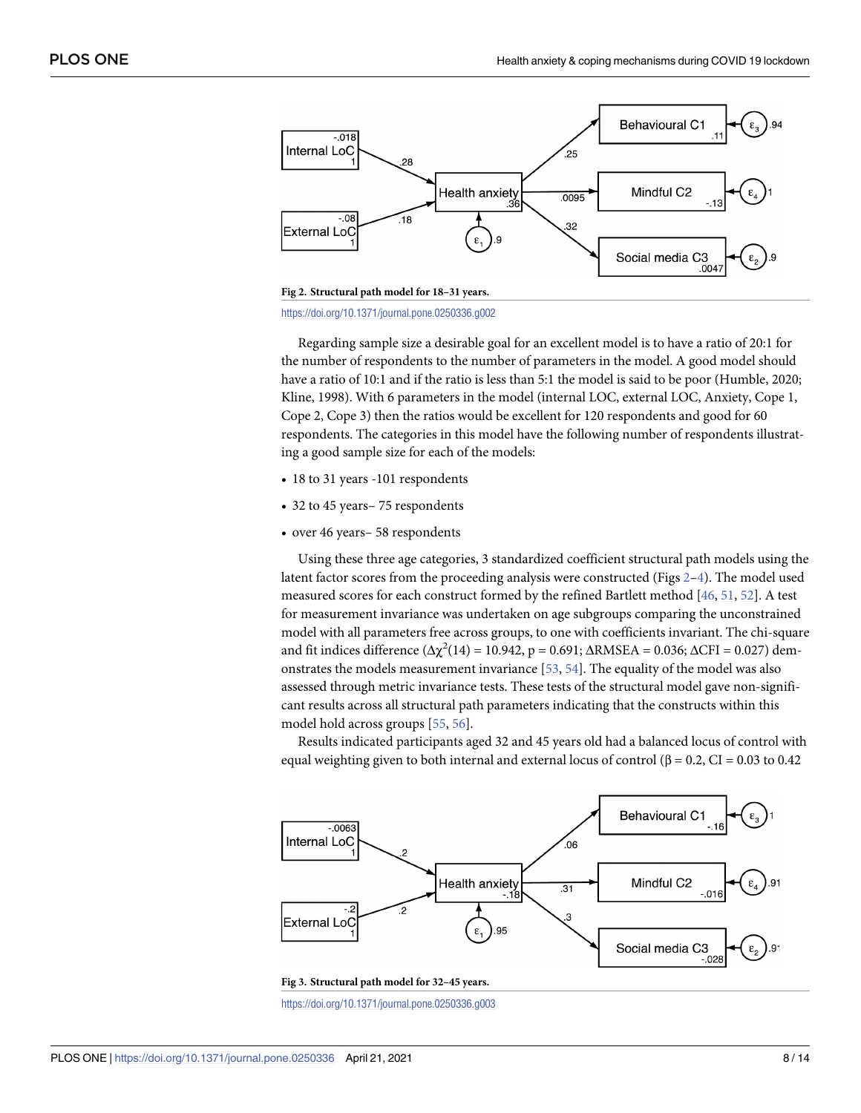<span id="page-7-0"></span>

<https://doi.org/10.1371/journal.pone.0250336.g002>

Regarding sample size a desirable goal for an excellent model is to have a ratio of 20:1 for the number of respondents to the number of parameters in the model. A good model should have a ratio of 10:1 and if the ratio is less than 5:1 the model is said to be poor (Humble, 2020; Kline, 1998). With 6 parameters in the model (internal LOC, external LOC, Anxiety, Cope 1, Cope 2, Cope 3) then the ratios would be excellent for 120 respondents and good for 60 respondents. The categories in this model have the following number of respondents illustrating a good sample size for each of the models:

- 18 to 31 years -101 respondents
- 32 to 45 years– 75 respondents
- over 46 years– 58 respondents

Using these three age categories, 3 standardized coefficient structural path models using the latent factor scores from the proceeding analysis were constructed (Figs 2[–4\)](#page-8-0). The model used measured scores for each construct formed by the refined Bartlett method [[46](#page-12-0), [51](#page-13-0), [52](#page-13-0)]. A test for measurement invariance was undertaken on age subgroups comparing the unconstrained model with all parameters free across groups, to one with coefficients invariant. The chi-square and fit indices difference ( $\Delta \chi^2(14) = 10.942$ , p = 0.691;  $\Delta$ RMSEA = 0.036;  $\Delta$ CFI = 0.027) demonstrates the models measurement invariance [\[53,](#page-13-0) [54](#page-13-0)]. The equality of the model was also assessed through metric invariance tests. These tests of the structural model gave non-significant results across all structural path parameters indicating that the constructs within this model hold across groups [[55](#page-13-0), [56](#page-13-0)].

Results indicated participants aged 32 and 45 years old had a balanced locus of control with equal weighting given to both internal and external locus of control  $(\beta = 0.2, CI = 0.03$  to 0.42

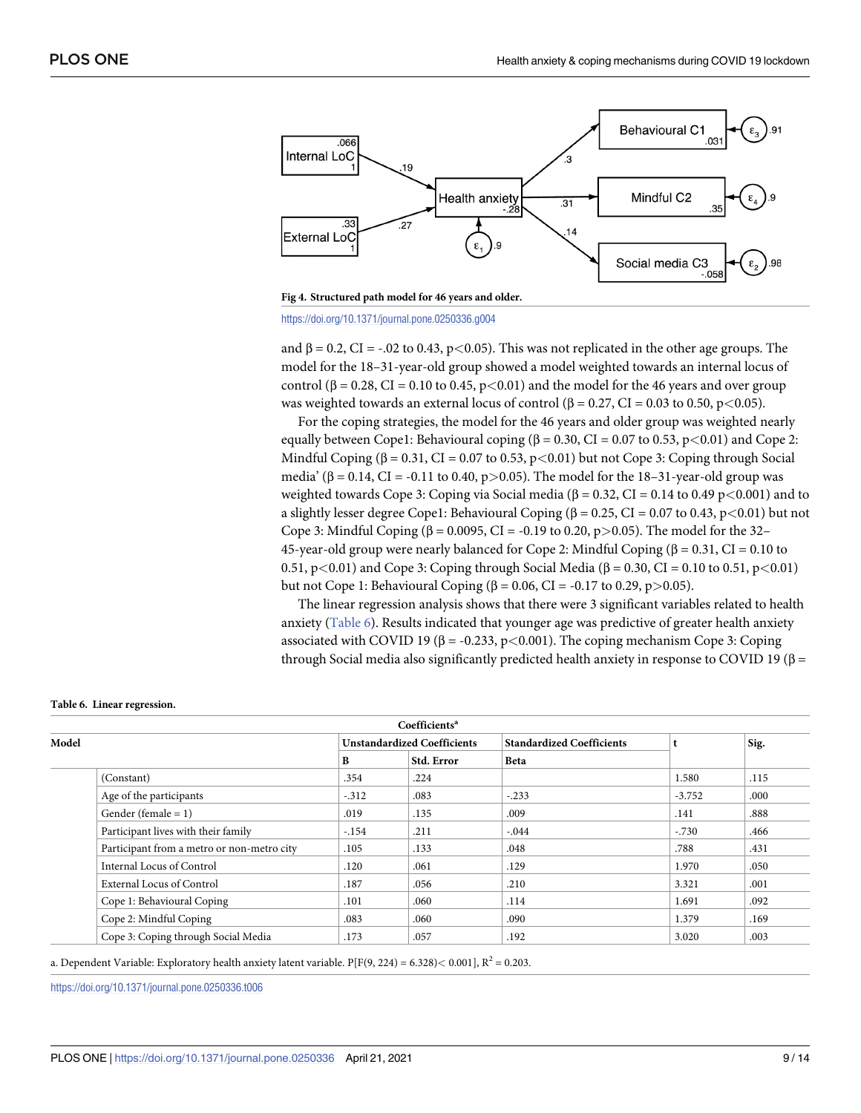<span id="page-8-0"></span>

**[Fig](#page-7-0) 4. Structured path model for 46 years and older.**

and  $β = 0.2$ ,  $CI = -.02$  to 0.43,  $p < 0.05$ ). This was not replicated in the other age groups. The model for the 18–31-year-old group showed a model weighted towards an internal locus of control ( $β = 0.28$ , CI = 0.10 to 0.45,  $p < 0.01$ ) and the model for the 46 years and over group was weighted towards an external locus of control (β = 0.27, CI = 0.03 to 0.50, p*<*0.05).

For the coping strategies, the model for the 46 years and older group was weighted nearly equally between Cope1: Behavioural coping (β = 0.30, CI = 0.07 to 0.53, p*<*0.01) and Cope 2: Mindful Coping (β = 0.31, CI = 0.07 to 0.53, p*<*0.01) but not Cope 3: Coping through Social media' (β = 0.14, CI = -0.11 to 0.40, p*>*0.05). The model for the 18–31-year-old group was weighted towards Cope 3: Coping via Social media (β = 0.32, CI = 0.14 to 0.49 p*<*0.001) and to a slightly lesser degree Cope1: Behavioural Coping (β = 0.25, CI = 0.07 to 0.43, p*<*0.01) but not Cope 3: Mindful Coping (β = 0.0095, CI = -0.19 to 0.20, p*>*0.05). The model for the 32– 45-year-old group were nearly balanced for Cope 2: Mindful Coping ( $β = 0.31$ , CI = 0.10 to 0.51, p*<*0.01) and Cope 3: Coping through Social Media (β = 0.30, CI = 0.10 to 0.51, p*<*0.01) but not Cope 1: Behavioural Coping (β = 0.06, CI = -0.17 to 0.29, p*>*0.05).

The linear regression analysis shows that there were 3 significant variables related to health anxiety (Table 6). Results indicated that younger age was predictive of greater health anxiety associated with COVID 19 (β = -0.233, p*<*0.001). The coping mechanism Cope 3: Coping through Social media also significantly predicted health anxiety in response to COVID 19 ( $\beta$  =

| Coefficients <sup>a</sup> |                                            |                                    |            |                                  |          |      |  |
|---------------------------|--------------------------------------------|------------------------------------|------------|----------------------------------|----------|------|--|
| Model                     |                                            | <b>Unstandardized Coefficients</b> |            | <b>Standardized Coefficients</b> |          | Sig. |  |
|                           |                                            | B                                  | Std. Error | <b>Beta</b>                      |          |      |  |
|                           | (Constant)                                 | .354                               | .224       |                                  | 1.580    | .115 |  |
|                           | Age of the participants                    | $-.312$                            | .083       | $-.233$                          | $-3.752$ | .000 |  |
|                           | Gender (female $= 1$ )                     | .019                               | .135       | .009                             | .141     | .888 |  |
|                           | Participant lives with their family        | $-.154$                            | .211       | $-.044$                          | $-.730$  | .466 |  |
|                           | Participant from a metro or non-metro city | .105                               | .133       | .048                             | .788     | .431 |  |
|                           | Internal Locus of Control                  | .120                               | .061       | .129                             | 1.970    | .050 |  |
|                           | <b>External Locus of Control</b>           | .187                               | .056       | .210                             | 3.321    | .001 |  |
|                           | Cope 1: Behavioural Coping                 | .101                               | .060       | .114                             | 1.691    | .092 |  |
|                           | Cope 2: Mindful Coping                     | .083                               | .060       | .090                             | 1.379    | .169 |  |
|                           | Cope 3: Coping through Social Media        | .173                               | .057       | .192                             | 3.020    | .003 |  |

#### **Table 6. Linear regression.**

a. Dependent Variable: Exploratory health anxiety latent variable. P[F(9, 224) = 6.328)*<* 0.001], R2 = 0.203.

<https://doi.org/10.1371/journal.pone.0250336.g004>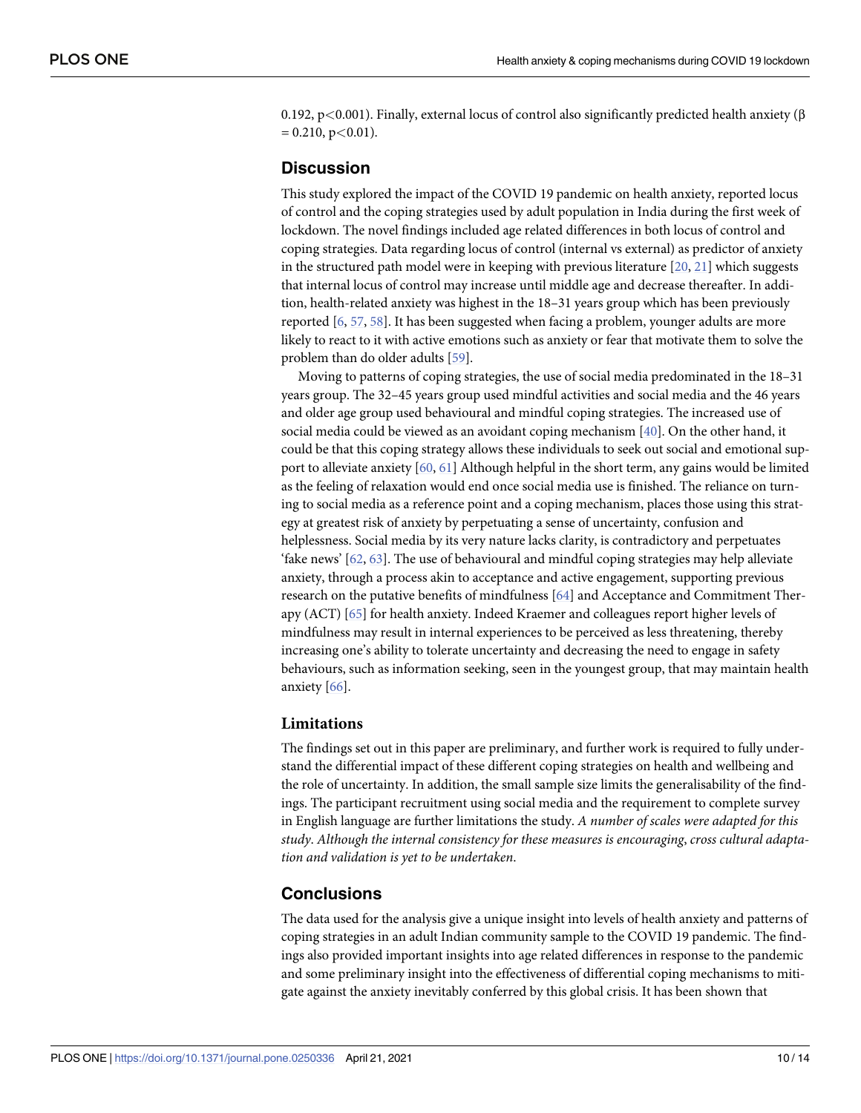<span id="page-9-0"></span>0.192, p*<*0.001). Finally, external locus of control also significantly predicted health anxiety (β = 0.210, p*<*0.01).

## **Discussion**

This study explored the impact of the COVID 19 pandemic on health anxiety, reported locus of control and the coping strategies used by adult population in India during the first week of lockdown. The novel findings included age related differences in both locus of control and coping strategies. Data regarding locus of control (internal vs external) as predictor of anxiety in the structured path model were in keeping with previous literature  $[20, 21]$  $[20, 21]$  $[20, 21]$  $[20, 21]$  $[20, 21]$  which suggests that internal locus of control may increase until middle age and decrease thereafter. In addition, health-related anxiety was highest in the 18–31 years group which has been previously reported [\[6,](#page-11-0) [57,](#page-13-0) [58\]](#page-13-0). It has been suggested when facing a problem, younger adults are more likely to react to it with active emotions such as anxiety or fear that motivate them to solve the problem than do older adults [\[59\]](#page-13-0).

Moving to patterns of coping strategies, the use of social media predominated in the 18–31 years group. The 32–45 years group used mindful activities and social media and the 46 years and older age group used behavioural and mindful coping strategies. The increased use of social media could be viewed as an avoidant coping mechanism [[40](#page-12-0)]. On the other hand, it could be that this coping strategy allows these individuals to seek out social and emotional support to alleviate anxiety [\[60,](#page-13-0) [61\]](#page-13-0) Although helpful in the short term, any gains would be limited as the feeling of relaxation would end once social media use is finished. The reliance on turning to social media as a reference point and a coping mechanism, places those using this strategy at greatest risk of anxiety by perpetuating a sense of uncertainty, confusion and helplessness. Social media by its very nature lacks clarity, is contradictory and perpetuates 'fake news' [[62](#page-13-0), [63](#page-13-0)]. The use of behavioural and mindful coping strategies may help alleviate anxiety, through a process akin to acceptance and active engagement, supporting previous research on the putative benefits of mindfulness [[64](#page-13-0)] and Acceptance and Commitment Therapy (ACT) [\[65\]](#page-13-0) for health anxiety. Indeed Kraemer and colleagues report higher levels of mindfulness may result in internal experiences to be perceived as less threatening, thereby increasing one's ability to tolerate uncertainty and decreasing the need to engage in safety behaviours, such as information seeking, seen in the youngest group, that may maintain health anxiety [[66](#page-13-0)].

## **Limitations**

The findings set out in this paper are preliminary, and further work is required to fully understand the differential impact of these different coping strategies on health and wellbeing and the role of uncertainty. In addition, the small sample size limits the generalisability of the findings. The participant recruitment using social media and the requirement to complete survey in English language are further limitations the study. *A number of scales were adapted for this study*. *Although the internal consistency for these measures is encouraging*, *cross cultural adaptation and validation is yet to be undertaken*.

## **Conclusions**

The data used for the analysis give a unique insight into levels of health anxiety and patterns of coping strategies in an adult Indian community sample to the COVID 19 pandemic. The findings also provided important insights into age related differences in response to the pandemic and some preliminary insight into the effectiveness of differential coping mechanisms to mitigate against the anxiety inevitably conferred by this global crisis. It has been shown that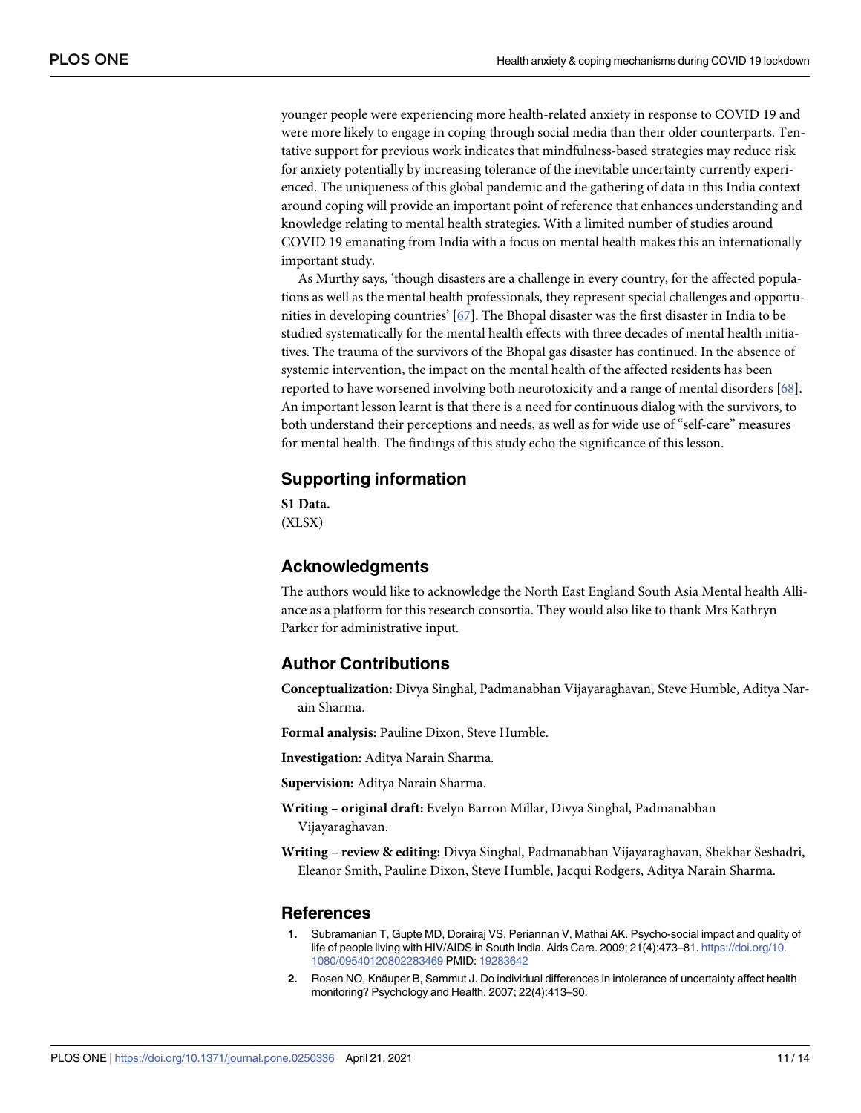<span id="page-10-0"></span>younger people were experiencing more health-related anxiety in response to COVID 19 and were more likely to engage in coping through social media than their older counterparts. Tentative support for previous work indicates that mindfulness-based strategies may reduce risk for anxiety potentially by increasing tolerance of the inevitable uncertainty currently experienced. The uniqueness of this global pandemic and the gathering of data in this India context around coping will provide an important point of reference that enhances understanding and knowledge relating to mental health strategies. With a limited number of studies around COVID 19 emanating from India with a focus on mental health makes this an internationally important study.

As Murthy says, 'though disasters are a challenge in every country, for the affected populations as well as the mental health professionals, they represent special challenges and opportunities in developing countries' [\[67\]](#page-13-0). The Bhopal disaster was the first disaster in India to be studied systematically for the mental health effects with three decades of mental health initiatives. The trauma of the survivors of the Bhopal gas disaster has continued. In the absence of systemic intervention, the impact on the mental health of the affected residents has been reported to have worsened involving both neurotoxicity and a range of mental disorders [[68](#page-13-0)]. An important lesson learnt is that there is a need for continuous dialog with the survivors, to both understand their perceptions and needs, as well as for wide use of "self-care" measures for mental health. The findings of this study echo the significance of this lesson.

## **Supporting information**

**S1 [Data](http://www.plosone.org/article/fetchSingleRepresentation.action?uri=info:doi/10.1371/journal.pone.0250336.s001).** (XLSX)

## **Acknowledgments**

The authors would like to acknowledge the North East England South Asia Mental health Alliance as a platform for this research consortia. They would also like to thank Mrs Kathryn Parker for administrative input.

## **Author Contributions**

**Conceptualization:** Divya Singhal, Padmanabhan Vijayaraghavan, Steve Humble, Aditya Narain Sharma.

**Formal analysis:** Pauline Dixon, Steve Humble.

**Investigation:** Aditya Narain Sharma.

**Supervision:** Aditya Narain Sharma.

**Writing – original draft:** Evelyn Barron Millar, Divya Singhal, Padmanabhan Vijayaraghavan.

**Writing – review & editing:** Divya Singhal, Padmanabhan Vijayaraghavan, Shekhar Seshadri, Eleanor Smith, Pauline Dixon, Steve Humble, Jacqui Rodgers, Aditya Narain Sharma.

## **References**

- **[1](#page-0-0).** Subramanian T, Gupte MD, Dorairaj VS, Periannan V, Mathai AK. Psycho-social impact and quality of life of people living with HIV/AIDS in South India. Aids Care. 2009; 21(4):473–81. [https://doi.org/10.](https://doi.org/10.1080/09540120802283469) [1080/09540120802283469](https://doi.org/10.1080/09540120802283469) PMID: [19283642](http://www.ncbi.nlm.nih.gov/pubmed/19283642)
- **[2](#page-0-0).** Rosen NO, Knäuper B, Sammut J. Do individual differences in intolerance of uncertainty affect health monitoring? Psychology and Health. 2007; 22(4):413–30.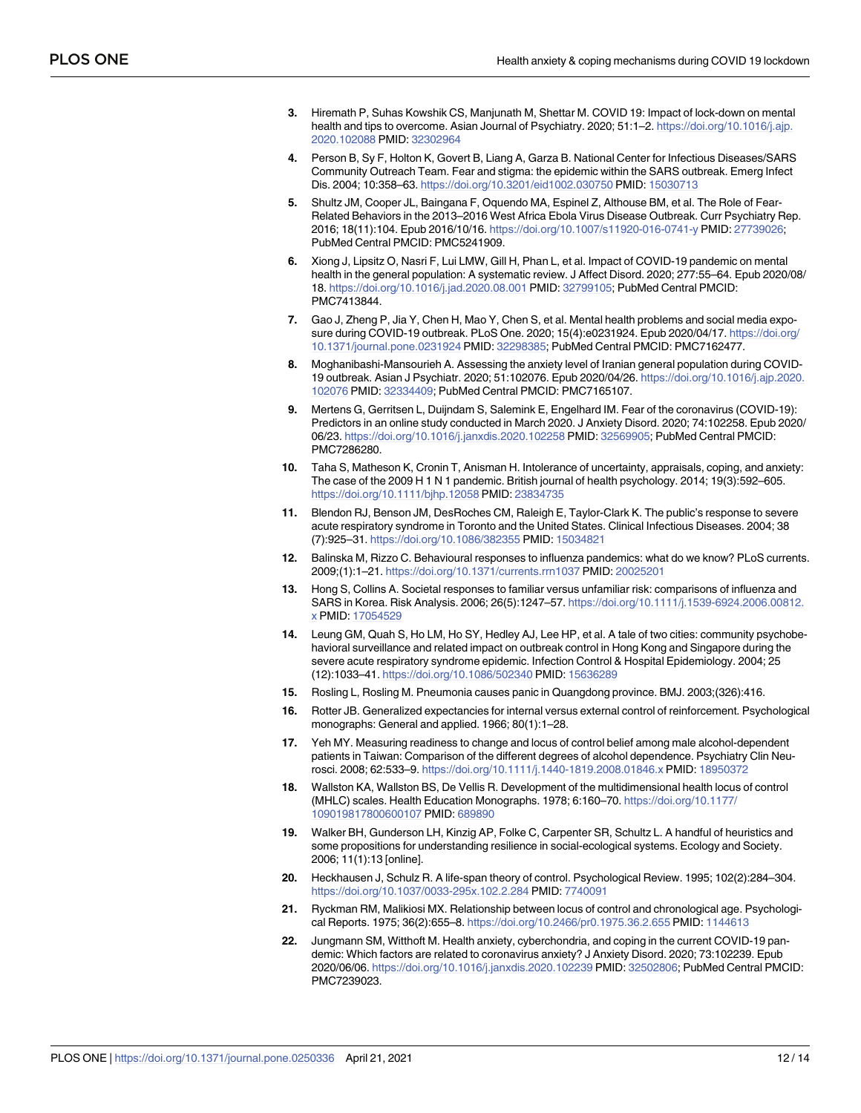- <span id="page-11-0"></span>**[3](#page-0-0).** Hiremath P, Suhas Kowshik CS, Manjunath M, Shettar M. COVID 19: Impact of lock-down on mental health and tips to overcome. Asian Journal of Psychiatry. 2020; 51:1–2. [https://doi.org/10.1016/j.ajp.](https://doi.org/10.1016/j.ajp.2020.102088) [2020.102088](https://doi.org/10.1016/j.ajp.2020.102088) PMID: [32302964](http://www.ncbi.nlm.nih.gov/pubmed/32302964)
- **[4](#page-1-0).** Person B, Sy F, Holton K, Govert B, Liang A, Garza B. National Center for Infectious Diseases/SARS Community Outreach Team. Fear and stigma: the epidemic within the SARS outbreak. Emerg Infect Dis. 2004; 10:358–63. <https://doi.org/10.3201/eid1002.030750> PMID: [15030713](http://www.ncbi.nlm.nih.gov/pubmed/15030713)
- **[5](#page-1-0).** Shultz JM, Cooper JL, Baingana F, Oquendo MA, Espinel Z, Althouse BM, et al. The Role of Fear-Related Behaviors in the 2013–2016 West Africa Ebola Virus Disease Outbreak. Curr Psychiatry Rep. 2016; 18(11):104. Epub 2016/10/16. <https://doi.org/10.1007/s11920-016-0741-y> PMID: [27739026](http://www.ncbi.nlm.nih.gov/pubmed/27739026); PubMed Central PMCID: PMC5241909.
- **[6](#page-1-0).** Xiong J, Lipsitz O, Nasri F, Lui LMW, Gill H, Phan L, et al. Impact of COVID-19 pandemic on mental health in the general population: A systematic review. J Affect Disord. 2020; 277:55–64. Epub 2020/08/ 18. <https://doi.org/10.1016/j.jad.2020.08.001> PMID: [32799105](http://www.ncbi.nlm.nih.gov/pubmed/32799105); PubMed Central PMCID: PMC7413844.
- **[7](#page-1-0).** Gao J, Zheng P, Jia Y, Chen H, Mao Y, Chen S, et al. Mental health problems and social media exposure during COVID-19 outbreak. PLoS One. 2020; 15(4):e0231924. Epub 2020/04/17. [https://doi.org/](https://doi.org/10.1371/journal.pone.0231924) [10.1371/journal.pone.0231924](https://doi.org/10.1371/journal.pone.0231924) PMID: [32298385](http://www.ncbi.nlm.nih.gov/pubmed/32298385); PubMed Central PMCID: PMC7162477.
- **8.** Moghanibashi-Mansourieh A. Assessing the anxiety level of Iranian general population during COVID-19 outbreak. Asian J Psychiatr. 2020; 51:102076. Epub 2020/04/26. [https://doi.org/10.1016/j.ajp.2020.](https://doi.org/10.1016/j.ajp.2020.102076) [102076](https://doi.org/10.1016/j.ajp.2020.102076) PMID: [32334409](http://www.ncbi.nlm.nih.gov/pubmed/32334409); PubMed Central PMCID: PMC7165107.
- **[9](#page-1-0).** Mertens G, Gerritsen L, Duijndam S, Salemink E, Engelhard IM. Fear of the coronavirus (COVID-19): Predictors in an online study conducted in March 2020. J Anxiety Disord. 2020; 74:102258. Epub 2020/ 06/23. <https://doi.org/10.1016/j.janxdis.2020.102258> PMID: [32569905](http://www.ncbi.nlm.nih.gov/pubmed/32569905); PubMed Central PMCID: PMC7286280.
- **[10](#page-1-0).** Taha S, Matheson K, Cronin T, Anisman H. Intolerance of uncertainty, appraisals, coping, and anxiety: The case of the 2009 H 1 N 1 pandemic. British journal of health psychology. 2014; 19(3):592–605. <https://doi.org/10.1111/bjhp.12058> PMID: [23834735](http://www.ncbi.nlm.nih.gov/pubmed/23834735)
- **11.** Blendon RJ, Benson JM, DesRoches CM, Raleigh E, Taylor-Clark K. The public's response to severe acute respiratory syndrome in Toronto and the United States. Clinical Infectious Diseases. 2004; 38 (7):925–31. <https://doi.org/10.1086/382355> PMID: [15034821](http://www.ncbi.nlm.nih.gov/pubmed/15034821)
- **12.** Balinska M, Rizzo C. Behavioural responses to influenza pandemics: what do we know? PLoS currents. 2009;(1):1–21. <https://doi.org/10.1371/currents.rrn1037> PMID: [20025201](http://www.ncbi.nlm.nih.gov/pubmed/20025201)
- **13.** Hong S, Collins A. Societal responses to familiar versus unfamiliar risk: comparisons of influenza and SARS in Korea. Risk Analysis. 2006; 26(5):1247–57. [https://doi.org/10.1111/j.1539-6924.2006.00812.](https://doi.org/10.1111/j.1539-6924.2006.00812.x) [x](https://doi.org/10.1111/j.1539-6924.2006.00812.x) PMID: [17054529](http://www.ncbi.nlm.nih.gov/pubmed/17054529)
- **14.** Leung GM, Quah S, Ho LM, Ho SY, Hedley AJ, Lee HP, et al. A tale of two cities: community psychobehavioral surveillance and related impact on outbreak control in Hong Kong and Singapore during the severe acute respiratory syndrome epidemic. Infection Control & Hospital Epidemiology. 2004; 25 (12):1033–41. <https://doi.org/10.1086/502340> PMID: [15636289](http://www.ncbi.nlm.nih.gov/pubmed/15636289)
- **[15](#page-1-0).** Rosling L, Rosling M. Pneumonia causes panic in Quangdong province. BMJ. 2003;(326):416.
- **[16](#page-1-0).** Rotter JB. Generalized expectancies for internal versus external control of reinforcement. Psychological monographs: General and applied. 1966; 80(1):1–28.
- **[17](#page-1-0).** Yeh MY. Measuring readiness to change and locus of control belief among male alcohol-dependent patients in Taiwan: Comparison of the different degrees of alcohol dependence. Psychiatry Clin Neurosci. 2008; 62:533–9. <https://doi.org/10.1111/j.1440-1819.2008.01846.x> PMID: [18950372](http://www.ncbi.nlm.nih.gov/pubmed/18950372)
- **[18](#page-1-0).** Wallston KA, Wallston BS, De Vellis R. Development of the multidimensional health locus of control (MHLC) scales. Health Education Monographs. 1978; 6:160–70. [https://doi.org/10.1177/](https://doi.org/10.1177/109019817800600107) [109019817800600107](https://doi.org/10.1177/109019817800600107) PMID: [689890](http://www.ncbi.nlm.nih.gov/pubmed/689890)
- **[19](#page-1-0).** Walker BH, Gunderson LH, Kinzig AP, Folke C, Carpenter SR, Schultz L. A handful of heuristics and some propositions for understanding resilience in social-ecological systems. Ecology and Society. 2006; 11(1):13 [online].
- **[20](#page-1-0).** Heckhausen J, Schulz R. A life-span theory of control. Psychological Review. 1995; 102(2):284–304. <https://doi.org/10.1037/0033-295x.102.2.284> PMID: [7740091](http://www.ncbi.nlm.nih.gov/pubmed/7740091)
- **[21](#page-1-0).** Ryckman RM, Malikiosi MX. Relationship between locus of control and chronological age. Psychological Reports. 1975; 36(2):655–8. <https://doi.org/10.2466/pr0.1975.36.2.655> PMID: [1144613](http://www.ncbi.nlm.nih.gov/pubmed/1144613)
- **[22](#page-1-0).** Jungmann SM, Witthoft M. Health anxiety, cyberchondria, and coping in the current COVID-19 pandemic: Which factors are related to coronavirus anxiety? J Anxiety Disord. 2020; 73:102239. Epub 2020/06/06. <https://doi.org/10.1016/j.janxdis.2020.102239> PMID: [32502806;](http://www.ncbi.nlm.nih.gov/pubmed/32502806) PubMed Central PMCID: PMC7239023.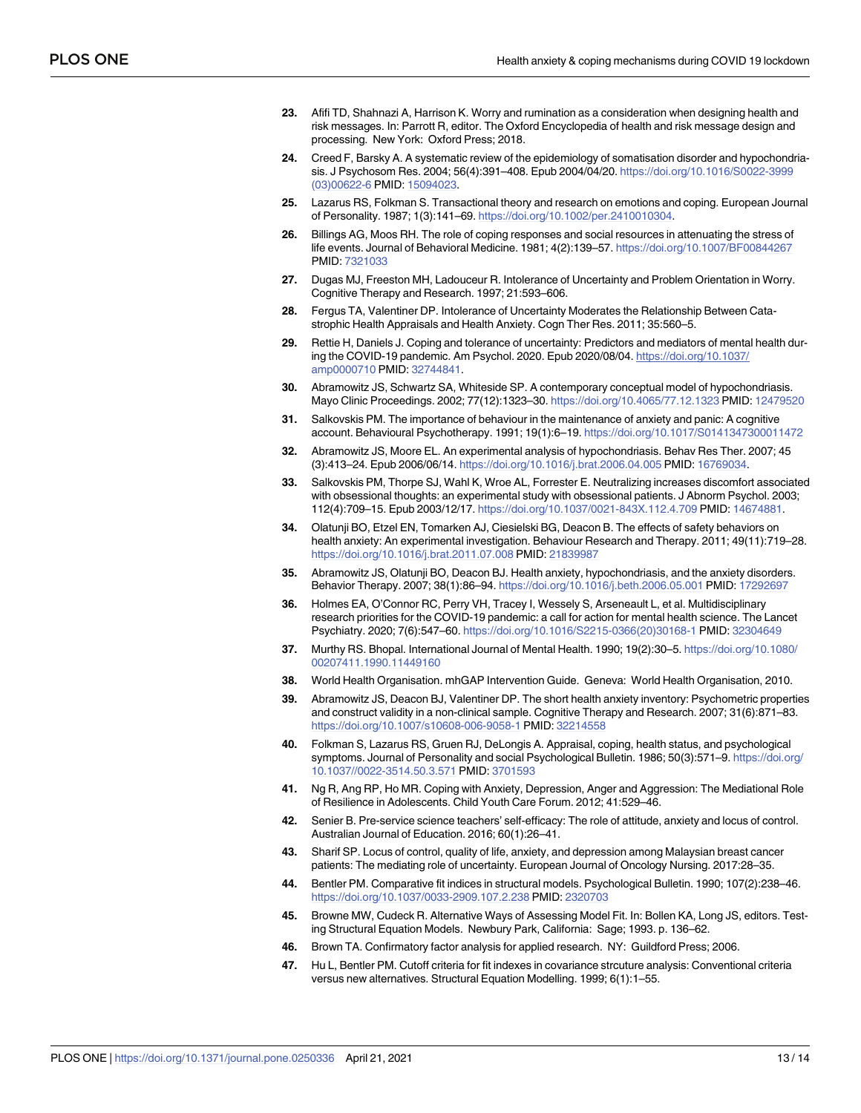- <span id="page-12-0"></span>**23.** Afifi TD, Shahnazi A, Harrison K. Worry and rumination as a consideration when designing health and risk messages. In: Parrott R, editor. The Oxford Encyclopedia of health and risk message design and processing. New York: Oxford Press; 2018.
- **[24](#page-1-0).** Creed F, Barsky A. A systematic review of the epidemiology of somatisation disorder and hypochondriasis. J Psychosom Res. 2004; 56(4):391–408. Epub 2004/04/20. [https://doi.org/10.1016/S0022-3999](https://doi.org/10.1016/S0022-3999%2803%2900622-6) [\(03\)00622-6](https://doi.org/10.1016/S0022-3999%2803%2900622-6) PMID: [15094023.](http://www.ncbi.nlm.nih.gov/pubmed/15094023)
- **[25](#page-1-0).** Lazarus RS, Folkman S. Transactional theory and research on emotions and coping. European Journal of Personality. 1987; 1(3):141–69. <https://doi.org/10.1002/per.2410010304>.
- **[26](#page-1-0).** Billings AG, Moos RH. The role of coping responses and social resources in attenuating the stress of life events. Journal of Behavioral Medicine. 1981; 4(2):139–57. <https://doi.org/10.1007/BF00844267> PMID: [7321033](http://www.ncbi.nlm.nih.gov/pubmed/7321033)
- **[27](#page-1-0).** Dugas MJ, Freeston MH, Ladouceur R. Intolerance of Uncertainty and Problem Orientation in Worry. Cognitive Therapy and Research. 1997; 21:593–606.
- **[28](#page-1-0).** Fergus TA, Valentiner DP. Intolerance of Uncertainty Moderates the Relationship Between Catastrophic Health Appraisals and Health Anxiety. Cogn Ther Res. 2011; 35:560–5.
- **[29](#page-1-0).** Rettie H, Daniels J. Coping and tolerance of uncertainty: Predictors and mediators of mental health during the COVID-19 pandemic. Am Psychol. 2020. Epub 2020/08/04. [https://doi.org/10.1037/](https://doi.org/10.1037/amp0000710) [amp0000710](https://doi.org/10.1037/amp0000710) PMID: [32744841.](http://www.ncbi.nlm.nih.gov/pubmed/32744841)
- **[30](#page-1-0).** Abramowitz JS, Schwartz SA, Whiteside SP. A contemporary conceptual model of hypochondriasis. Mayo Clinic Proceedings. 2002; 77(12):1323–30. <https://doi.org/10.4065/77.12.1323> PMID: [12479520](http://www.ncbi.nlm.nih.gov/pubmed/12479520)
- **[31](#page-1-0).** Salkovskis PM. The importance of behaviour in the maintenance of anxiety and panic: A cognitive account. Behavioural Psychotherapy. 1991; 19(1):6–19. <https://doi.org/10.1017/S0141347300011472>
- **[32](#page-2-0).** Abramowitz JS, Moore EL. An experimental analysis of hypochondriasis. Behav Res Ther. 2007; 45 (3):413–24. Epub 2006/06/14. <https://doi.org/10.1016/j.brat.2006.04.005> PMID: [16769034](http://www.ncbi.nlm.nih.gov/pubmed/16769034).
- **[33](#page-2-0).** Salkovskis PM, Thorpe SJ, Wahl K, Wroe AL, Forrester E. Neutralizing increases discomfort associated with obsessional thoughts: an experimental study with obsessional patients. J Abnorm Psychol. 2003; 112(4):709–15. Epub 2003/12/17. <https://doi.org/10.1037/0021-843X.112.4.709> PMID: [14674881](http://www.ncbi.nlm.nih.gov/pubmed/14674881).
- **[34](#page-2-0).** Olatunji BO, Etzel EN, Tomarken AJ, Ciesielski BG, Deacon B. The effects of safety behaviors on health anxiety: An experimental investigation. Behaviour Research and Therapy. 2011; 49(11):719–28. <https://doi.org/10.1016/j.brat.2011.07.008> PMID: [21839987](http://www.ncbi.nlm.nih.gov/pubmed/21839987)
- **[35](#page-2-0).** Abramowitz JS, Olatunji BO, Deacon BJ. Health anxiety, hypochondriasis, and the anxiety disorders. Behavior Therapy. 2007; 38(1):86–94. <https://doi.org/10.1016/j.beth.2006.05.001> PMID: [17292697](http://www.ncbi.nlm.nih.gov/pubmed/17292697)
- **[36](#page-2-0).** Holmes EA, O'Connor RC, Perry VH, Tracey I, Wessely S, Arseneault L, et al. Multidisciplinary research priorities for the COVID-19 pandemic: a call for action for mental health science. The Lancet Psychiatry. 2020; 7(6):547–60. [https://doi.org/10.1016/S2215-0366\(20\)30168-1](https://doi.org/10.1016/S2215-0366%2820%2930168-1) PMID: [32304649](http://www.ncbi.nlm.nih.gov/pubmed/32304649)
- **[37](#page-2-0).** Murthy RS. Bhopal. International Journal of Mental Health. 1990; 19(2):30–5. [https://doi.org/10.1080/](https://doi.org/10.1080/00207411.1990.11449160) [00207411.1990.11449160](https://doi.org/10.1080/00207411.1990.11449160)
- **[38](#page-2-0).** World Health Organisation. mhGAP Intervention Guide. Geneva: World Health Organisation, 2010.
- **[39](#page-3-0).** Abramowitz JS, Deacon BJ, Valentiner DP. The short health anxiety inventory: Psychometric properties and construct validity in a non-clinical sample. Cognitive Therapy and Research. 2007; 31(6):871–83. <https://doi.org/10.1007/s10608-006-9058-1> PMID: [32214558](http://www.ncbi.nlm.nih.gov/pubmed/32214558)
- **[40](#page-3-0).** Folkman S, Lazarus RS, Gruen RJ, DeLongis A. Appraisal, coping, health status, and psychological symptoms. Journal of Personality and social Psychological Bulletin. 1986; 50(3):571–9. [https://doi.org/](https://doi.org/10.1037//0022-3514.50.3.571) [10.1037//0022-3514.50.3.571](https://doi.org/10.1037//0022-3514.50.3.571) PMID: [3701593](http://www.ncbi.nlm.nih.gov/pubmed/3701593)
- **[41](#page-4-0).** Ng R, Ang RP, Ho MR. Coping with Anxiety, Depression, Anger and Aggression: The Mediational Role of Resilience in Adolescents. Child Youth Care Forum. 2012; 41:529–46.
- **42.** Senier B. Pre-service science teachers' self-efficacy: The role of attitude, anxiety and locus of control. Australian Journal of Education. 2016; 60(1):26–41.
- **[43](#page-4-0).** Sharif SP. Locus of control, quality of life, anxiety, and depression among Malaysian breast cancer patients: The mediating role of uncertainty. European Journal of Oncology Nursing. 2017:28–35.
- **[44](#page-4-0).** Bentler PM. Comparative fit indices in structural models. Psychological Bulletin. 1990; 107(2):238–46. <https://doi.org/10.1037/0033-2909.107.2.238> PMID: [2320703](http://www.ncbi.nlm.nih.gov/pubmed/2320703)
- **45.** Browne MW, Cudeck R. Alternative Ways of Assessing Model Fit. In: Bollen KA, Long JS, editors. Testing Structural Equation Models. Newbury Park, California: Sage; 1993. p. 136–62.
- **[46](#page-4-0).** Brown TA. Confirmatory factor analysis for applied research. NY: Guildford Press; 2006.
- **[47](#page-4-0).** Hu L, Bentler PM. Cutoff criteria for fit indexes in covariance strcuture analysis: Conventional criteria versus new alternatives. Structural Equation Modelling. 1999; 6(1):1–55.